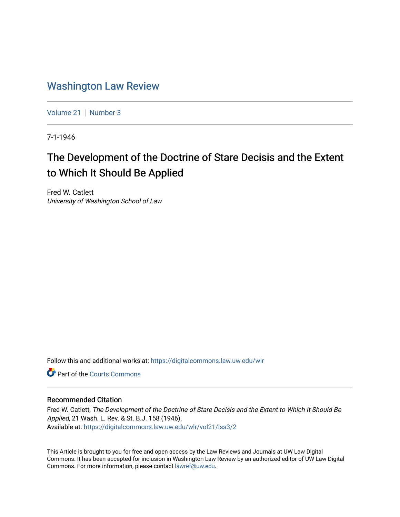# [Washington Law Review](https://digitalcommons.law.uw.edu/wlr)

[Volume 21](https://digitalcommons.law.uw.edu/wlr/vol21) | [Number 3](https://digitalcommons.law.uw.edu/wlr/vol21/iss3)

7-1-1946

# The Development of the Doctrine of Stare Decisis and the Extent to Which It Should Be Applied

Fred W. Catlett University of Washington School of Law

Follow this and additional works at: [https://digitalcommons.law.uw.edu/wlr](https://digitalcommons.law.uw.edu/wlr?utm_source=digitalcommons.law.uw.edu%2Fwlr%2Fvol21%2Fiss3%2F2&utm_medium=PDF&utm_campaign=PDFCoverPages)

**C** Part of the Courts Commons

## Recommended Citation

Fred W. Catlett, The Development of the Doctrine of Stare Decisis and the Extent to Which It Should Be Applied, 21 Wash. L. Rev. & St. B.J. 158 (1946). Available at: [https://digitalcommons.law.uw.edu/wlr/vol21/iss3/2](https://digitalcommons.law.uw.edu/wlr/vol21/iss3/2?utm_source=digitalcommons.law.uw.edu%2Fwlr%2Fvol21%2Fiss3%2F2&utm_medium=PDF&utm_campaign=PDFCoverPages)

This Article is brought to you for free and open access by the Law Reviews and Journals at UW Law Digital Commons. It has been accepted for inclusion in Washington Law Review by an authorized editor of UW Law Digital Commons. For more information, please contact [lawref@uw.edu](mailto:lawref@uw.edu).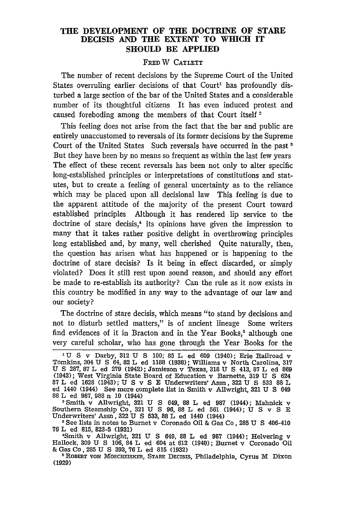### **THE DEVELOPMENT OF THE DOCTRINE OF STARE DECISIS AND THE EXTENT TO WHICH IT SHOULD BE APPLIED**

#### FRED W **CATLETT**

The number of recent decisions by the Supreme Court of the United States overruling earlier decisions of that  $Count<sup>1</sup>$  has profoundly disturbed a large section of the bar of the United States and a considerable number of its thoughtful citizens It has even induced protest and caused foreboding among the members of that Court itself 2

This feeling does not arise from the fact that the bar and public are entirely unaccustomed to reversals of its former decisions by the Supreme Court of the United States Such reversals have occurred in the past **3** But they have been by no means so frequent as within the last few years The effect of these recent reversals has been not only to alter specific long-established principles or interpretations of constitutions and statutes, but to create a feeling of general uncertainty as to the reliance which may be placed upon all decisional law This feeling is due to the apparent attitude of the majority of the present Court toward established principles Although it has rendered lip service to the doctrine of stare decisis, $4$  its opinions have given the impression to many that it takes rather positive delight in overthrowing principles long established and, by many, well cherished Quite naturally, then, the question has arisen what has happened or is happening to the doctrine of stare decisis? Is it being in effect discarded, or simply violated? Does it still rest upon sound reason, and should any effort be made to re-establish its authority? Can the rule as it now exists in this country be modified in any way to the advantage of our law and our society?

The doctrine of stare decisis, which means "to stand by decisions and not to disturb settled matters," is of ancient lineage Some writers find evidences of it in Bracton and in the Year Books,<sup>5</sup> although one very careful scholar, who has gone through the Year Books for the

2Smith v Allwright, **321 U S** 649, 88 L ed **987** (1944); Mahnick v Southern Steamship Co, 321 **U S** 96, 88 L ed 561 (1944); U S v S E Underwriters' Assn, **322** U **S** 533, 88 L ed 1440 (1944)

**1** See lists in notes to Burnet v Coronado Oil **&** Gas Co, **285 U S** 406-410 **76** L ed 815, 823-5 (1931)

'Smith v Allwright, 321 U **S** 649, **88** L ed **987** (1944); Helvering v Hallock, **309** U **S** 106, 84 L ed 604 at 612 (1940); Burnet v Coronado Oil & Gas Co, 285 U **S** 393, **76** L ed 815 (1932)

**5** ROBERT **VON** MOSCHZISKER, STARE DEcisis, Philadelphia, Cyrus M Dixon (1929)

**I U** S v Darby, **312 U** S 100; **85** L ed 609 (1940); Erie Railroad v Tomkins, 304 **U** S 64, 82 L ed **1188 (1938);** Williams v North Carolina, **<sup>317</sup> U S** 287, 87 L ed **279** (1942); Jamieson v Texas, **318 U** S 413, 87 L ed 869 (1943); West Virginia State Board of Education v Barnette, **319 U S** 624 87 L ed 1628 (1943); U S v S E Underwriters' Assn, **322 U S** 533 88 L ed 1440 (1944) See more complete list in Smith v Allwright, **321** U **S** 649 88 L ed 987, 988 n 10 (1944)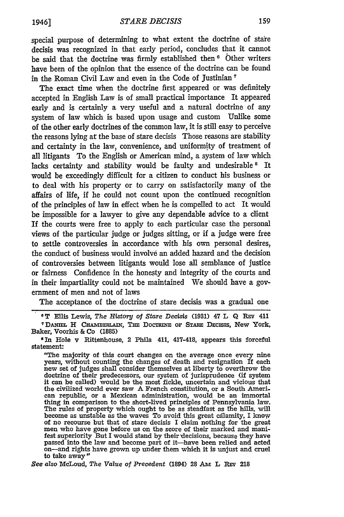**1946]**

special purpose of determining to what extent the doctrine of stare decisis was recognized in that early period, concludes that it cannot be said that the doctrine was firmly established then <sup>6</sup> Other writers have been of the opinion that the essence of the doctrine can be found in the Roman Civil Law and even in the Code of Justinian<sup>7</sup>

The exact time when the doctrine first appeared or was definitely accepted in English Law is of small practical importance It appeared early and is certainly a very useful and a natural doctrine of any system of law which is based upon usage and custom Unlike some of the other early doctrines of the common law, it is still easy to perceive the reasons lying at the base of stare decisis Those reasons are stability and certainty in the law, convenience, and uniformity of treatment of all litigants To the English or American mind, a system of law which lacks certainty and stability would be faulty and undesirable 8 It would be exceedingly difficult for a citizen to conduct his business or to deal with his property or to carry on satisfactorily many of the affairs of life, if he could not count upon the continued recognition of the principles of law in effect when he is compelled to act It would **be** impossible for a lawyer to give any dependable advice to a client If the courts were free to apply to each particular case the personal views of the particular judge or judges sitting, or if a judge were free to settle controversies in accordance with his own personal desires, the conduct of business would involve an added hazard and the decision of controversies between litigants would lose all semblance of justice or fairness Confidence in the honesty and integrity of the courts and in their impartiality could not be maintained We should have a gov**ernment** of men and not of laws

The acceptance of the doctrine of stare decisis was a gradual one

<sup>o</sup>T Ellis Lewis, The History of Stare Decisis (1931) 47 L Q REV 411

T Ellis Lewis, *The History of Stare Decisis* **(1931)** 47 L **Q REv** <sup>411</sup> **<sup>7</sup> DANIEL** H **CHAAMERLAw,** THE DocnumN **oF STARE** DEcIsIs, New York, Baker, Voorhis **&** Co **(1885)**

**<sup>8</sup>Ia** Hole v Rittenhouse, 2 Phila 411, 417-418, appears this forceful statement:

<sup>&</sup>quot;The majority of this court changes on the average once every nine years, without counting the changes of death and resignation **If** each new set of judges shall consider themselves at liberty to overthrow the doctrine of their predecessors, our system of jurisprudence (if system it can be called) would be the most fickle, uncertain and vicious that the civilized world ever saw **A** French constitution, or a South Ameri- can republic, or a Mexican administration, would be an immortal can republic, or a Mexican administration, would be an immortal thing in comparison to the short-lived principles of Pennsylvania law. The rules of property which ought to be as steadfast as the hills, will become as unstable as the waves To avoid this great calamity, I know of no recourse but that of stare decisis I claim nothing for the great men who have gone before us on the score of their marked and manifest superiority But I would stand **by** their 'decisions, because they have passed into the law and become part of it-have been relied and acted on-and rights have grown up under them which it is unjust and cruel to take away"

*See* also McLoud, *The Value of Precedent* (1894) **28** Am L **Rv 218**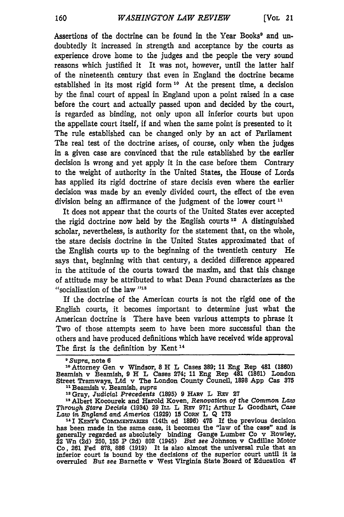Assertions of the doctrine can be found in the Year Books<sup>9</sup> and undoubtedly it increased in strength and acceptance by the courts as experience drove home to the judges and the people the very sound reasons which justified it It was not, however, until the latter half of the nineteenth century that even in England the doctrine became established in its most rigid form **10** At the present time, a decision by the final court of appeal in England upon a point raised in a case before the court and actually passed upon and decided by the court, is regarded as binding, not only upon all inferior courts but upon the appellate court itself, if and when the same point is presented to it The rule established can be changed only by an act of Parliament The real test of the doctrine arises, of course, only when the judges in a given case are convinced that the rule established by the earlier decision is wrong and yet apply it in the case before them Contrary to the weight of authority in the United States, the House of Lords has applied its rigid doctrine of stare decisis even where the earlier decision was made by an evenly divided court, the effect of the even division being an affirmance of the judgment of the lower court **"I**

It does not appear that the courts of the United States ever accepted the rigid doctrine now held by the English courts **12** A distinguished scholar, nevertheless, is authority for the statement that, on the whole, the stare decisis doctrine in the United States approximated that of the English courts up to the beginning of the twentieth century He says that, beginning with that century, a decided difference appeared in the attitude of the courts toward the maxim, and that this change of attitude may be attributed to what Dean Pound characterizes as the "socialization of the law **"13**

If the doctrine of the American courts is not the rigid one of the English courts, it becomes important to determine just what the American doctrine is There have been various attempts to phrase it Two of those attempts seem to have been more successful than the others and have produced definitions which have received wide approval The first is the definition by Kent  $14$ 

<sup>13</sup> Albert Kocourek and Harold Koven, *Renovation* of the Common Law *Through Stare Decisis* (1934) **29 ILL** L **REv 971;** Arthur L Goodhart, *Case Law in England and America* **(1929) 15 CoRN** L **Q 173**

**U I KENT's COVIMENTARIES** (14th ed **1896)** 475 **If** the previous decision has been made in the same case, it becomes the "law of the case" and is generally regarded as absolutely binding Gange Lumber Co v Rowley, 22 Wn (2d) 250, **155** P **(2d) 802** (1945) *But see* Johnson v Cadillac Motor Co, 261 Fed **878, 886 (1919)** It is also almost the universal rule that an inferior court is bound **by** the decisions of the superior court until it is overruled *But* see Barnette v West Virginia State Board of Education 47

**<sup>0</sup>**Supra, note **<sup>6</sup> '10Attorney** Gen v Windsor, **8** H L Cases **389;** 11 Eng Rep 481 **(1860)** Beamish v Beamish, **9** H L Cases 274; **11** Eng Rep 481 **(1861)** London Street Tramways, Ltd v The London County Council, **1898** App Cas **<sup>375</sup> <sup>11</sup>**Beamish v. Beamish, supra

**<sup>1</sup>** Gray, *Judicial Precedents* **(1895) 9 HARV L** REv **27**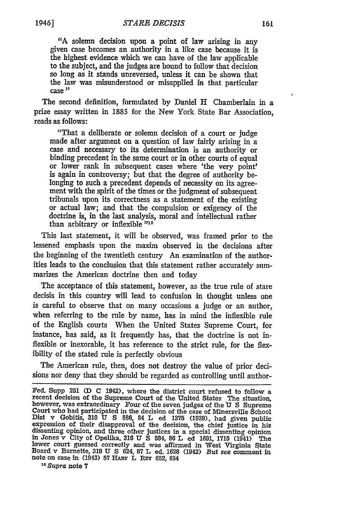"A solemn decision upon a point of law arising in any given case becomes an authority in a like case because it is the highest evidence which we can have of the law applicable to the subject, and the judges are bound to follow that decision so long as it stands unreversed, unless it can be shown that the law was misunderstood or misapplied in that particular **)** case **y**

The second definition, formulated by Daniel H Chamberlain in a prize essay written in 1885 for the New York State Bar Association, reads as follows:

"That a deliberate or solemn decision of a court or judge made after argument on a question of law fairly arising in a case and necessary to its determination is an authority or binding precedent in the same court or in other courts of equal or lower rank in subsequent cases where 'the very point' is again in controversy; but that the degree of authority belonging to such a precedent depends of necessity on its agreement with the spirit of the times or the judgment of subsequent tribunals upon its correctness as a statement of the existing or actual law; and that the compulsion or exigency of the doctrine is, in the last analysis, moral and intellectual rather than arbitrary or inflexible **'15**

This last statement, it will be observed, was framed prior to the lessened emphasis upon the maxim observed in the decisions after the beginning of the twentieth century An examination of the authorities leads to the conclusion that this statement rather accurately summarizes the American doctrine then and today

The acceptance of this statement, however, as the true rule of stare decisis in this country will lead to confusion in thought unless one is careful to observe that on many occasions a judge or an author, when referring to the rule by name, has in mind the inflexible rule of the English courts When the United States Supreme Court, for instance, has said, as it frequently has, that the doctrine is not inflexible or inexorable, it has reference to the strict rule, for the flexibility of the stated rule is perfectly obvious

The American rule, then, does not destroy the value of prior decisions nor deny that they should be regarded as controlling until author-

<sup>21</sup>*Supra* note **7**

Fed. Supp 251 (D C 1942), where the district court refused to follow a recent decision of the Supreme Court of the United States The situation, however, was extraordinary Four of the seven judges of the U S Supreme Court expression of their disapproval of the decision, the chief justice in his dissenting opinion, and three other justices in a special dissenting opinion in Jones v City of Opelika, 316 U S 584, 86 L ed 1691, 1715 (1941) The lower court guessed correctly and was affirmed in West Virginia State Board v Barnette, **319 U S** 624, **87** L ed. **1628** (1942) *But see* comment in note on case in (1943) **57** HaRv L **REv 652,** 654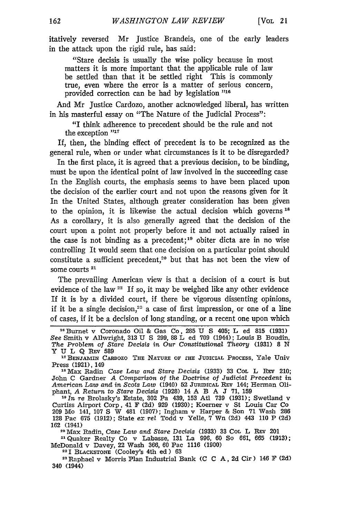itatively reversed Mr Justice Brandeis, one of the early leaders in the attack upon the rigid rule, has said:

"Stare decisis is usually the wise policy because in most matters it is more important that the applicable rule of law be settled than that it be settled right This is commonly true, even where the error is a matter of serious concern, provided correction can be had by legislation *"16*

And Mr Justice Cardozo, another acknowledged liberal, has written in his masterful essay on "The Nature of the Judicial Process":

"I think adherence to precedent should be the rule and not the exception *"1*

If, then, the binding effect of precedent is to be recognized as the general rule, when or under what circumstances is it to be disregarded?

In the first place, it is agreed that a previous decision, to be binding, must be upon the identical point of law involved in the succeeding case In the English courts, the emphasis seems to have been placed upon the decision of the earlier court and not upon the reasons given for it In the United States, although greater consideration has been given to the opinion, it is likewise the actual decision which governs **I** As a corollary, it is also generally agreed that the decision of the court upon a point not properly before it and not actually raised in the case is not binding as a precedent;<sup>19</sup> obiter dicta are in no wise controlling It would seem that one decision on a particular point should constitute a sufficient precedent,<sup>20</sup> but that has not been the view of some courts **21.**

The prevailing American view is that a decision of a court is but evidence of the law **22** If so, it may be weighed like any other evidence If it is by a divided court, if there be vigorous dissenting opinions, if it be a single decision,<sup>23</sup> a case of first impression, or one of a line of cases, if it be a decision of long standing, or a recent one upon which

20 Max Radin, *Case Law and Stare Decisis* (1933) 33 COL L REV 201

**<sup>21</sup>**Quaker Realty Co v Labasse, 131 La 996, 60 So 661, 665 (1913); McDonald v Davey, 22 Wash 366, 60 Pac 1116 (1900)<br><sup>22</sup> I BLACKSTONE (Cooley's 4th ed) 63

 $23$  Raphael v Morris Plan Industrial Bank (C C A, 2d Cir) 146 F (2d) 340 (1944)

**<sup>&</sup>quot;I** Burnet v Coronado Oil & Gas Co, 285 U S 405; L ed 815 (1931) *See* Smith v Allwright, 313 **U** S 299, 88 L ed 709 (1944); Louis B Boudin, *The Problem of Stare Decisis in Our Constitutional Theory* (1931) 8 **N** Y U L Q REV 589 **17 BENJAMIN** CARDozo **THE** NATURE **OF** *£HE* **JUDICIAL** PROCESS, Yale Univ

Press **(1921),** 149

**<sup>18</sup>**Max Radin *Case Law and Stare Decisis* (1933) **33 COL** L REV 210; John C Gardner *A Comparison* of *the Doctrine of Judicial Precedent in American Law and in Scots Law* (1940) 52 JURIDICAL REv 144; Herman Oliphant, *A Return to Stare Decisis* (1928) 14 A B A J 71, 159

**<sup>19</sup>In** *re* Brolasky's Estate, 302 Pa 439, 153 Atl 739 (1931); Swetland v Curtiss Airport Corp, 41 F (2d) 929 (1930); Koerner v St Louis Car Co 209 Mo 141, 107 **S** W 481 (1907); Ingham v Harper & Son 71 Wash 286 128 Pac 675 (1912); State *ex rel* Todd v Yelle, 7 Wn (2d) 443 110 P (2d) 162 (1941)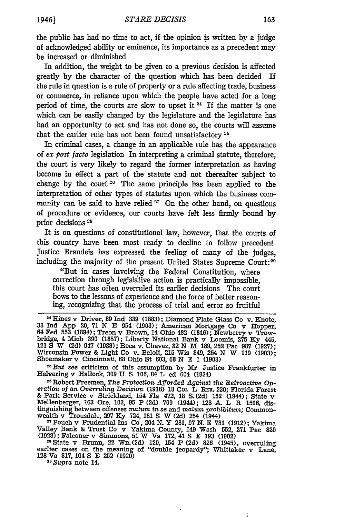the public has bad no time to act, if the opinion is written by a judge of acknowledged ability or eminence, its importance as a precedent may be increased or diminished

In addition, the weight to be given to a previous decision is affected greatly by the character of the question which has been decided If the rule in question is a rule of property or a rule affecting trade, business or commerce, in reliance upon which the people have acted for a long period of time, the courts are slow to upset it  $24$  If the matter is one which can be easily changed by the legislature and the legislature has had an opportunity to act and has not done so, the courts will assume that the earlier rule has not been found unsatisfactory **<sup>25</sup>**

In criminal cases, a change in an applicable rule has the appearance of ex *post facto* legislation In interpreting a criminal statute, therefore, the court is very likely to regard the former interpretation as having become in effect a part of the statute and not thereafter subject to change by the court<sup>26</sup> The same principle has been applied to the interpretation of other types of statutes upon which the business community can be said to have relied **27** On the other hand, on questions of procedure or evidence, our courts have felt less firmly bound **by** prior decisions **<sup>281</sup>**

It is on questions of constitutional law, however, that the courts of this country have been most ready to decline to follow precedent Justice Brandeis has expressed the feeling of many of the judges, including the majority of the present United States Supreme Court:29

"But in cases involving the Federal Constitution, where correction through legislative action is practically impossible, this court has often overruled its earlier decisions The court bows to the lessons of experience and the force of better reasoning, recognizing that the process of trial and error so fruitful

**<sup>2</sup>**Hines v Driver, **89 Ind 339 (1883);** Diamond Plate Glass Co v. Knote, **<sup>38</sup>Ind App** 20, **71** N **E** 954 **(1906);** American Mortgage Co v Hopper, 64 Fed **553** (1894); Treon v Brown, 14 Ohio 482 (1846); Newberry v Trowbridge, 4 Mich **390 (1857);** Liberty National Bank v Loomis, **275 Ky** 445, 121 **S** W **(2d)** 947 **(1938);** Boca v. Chavez, **32** N M **189, 252** Pac **987 (1927);** Wisconsin Power & Light Co v. Beloit, **215** Wis 349, 254 **N** W **119 (1903);** Shoemaker v Cincinnati, **68** Ohio St **603, 68** N **E 1 (1903)**

*2-1But* see criticism of this assumption **by** Mr Justice Frankfurter in Helvering v Hallock, **309 U S 106,** 84 L ed 604 (1934) <sup>2</sup>

6 Robert Freemen, The *Protection Afforded Against the Retroactive Op*eration of an Overruling Decision (1918) 18 Col L REV. 230; Florida Forest<br>& Park Service v Strickland, 154 Fla 472, 18 S. (2d) 152 (1944); State v<br>Mellenberger, 163 Ore. 103, 95 P (2d) 709 (1944); 128 A. L R 1506, distinguishing between offenses *malum in* se and *malum prohibitum;* Commonwealth v Trousdale, **297 Ky** 724, **181 S** W **(2d)** 254 (1944) **27 Pouch** v Prudential Ins Co, 204 **N.** Y **281, 97 N. E 731 (1912);** Yakima

Valley Bank & Trust Co v Yakima County, 149 Wash 552, 271 Pac 820<br>(1928); Falconer v Simmons, 51 W Va 172, 41 S E 193 (1902)<br><sup>28</sup> State v Brunn, 22 Wn. (2d) 120, 154 P (2d) 826 (1945), overruling<br>earlier cases on the meani

20 *Supra* note 14.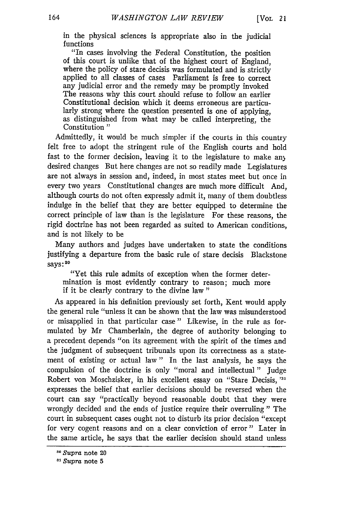in the physical sciences is appropriate also in the judicial functions

"In cases involving the Federal Constitution, the position of this court is unlike that of the highest court of England, where the policy of stare decisis was formulated and is strictly applied to all classes of cases Parliament is free to correct any judicial error and the remedy may be promptly invoked The reasons why this court should refuse to follow an earlier Constitutional decision which it deems erroneous are particularly strong where the question presented is one of applying, as distinguished from what may be called interpreting, the Constitution<sup>"</sup>

Admittedly, it would be much simpler if the courts in this country felt free to adopt the stringent rule of the English courts and hold fast to the former decision, leaving it to the legislature to make any desired changes But here changes are not so readily made Legislatures are not always in session and, indeed, in most states meet but once in every two years Constitutional changes are much more difficult And, although courts do not often expressly admit it, many of them doubtless indulge in the belief that they are better equipped to determine the correct principle of law than is the legislature For these reasons, the rigid doctrine has not been regarded as suited to American conditions, and is not likely to be

Many authors and judges have undertaken to state the conditions justifying a departure from the basic rule of stare decisis Blackstone says: **30**

"Yet this rule admits of exception when the former determination is most evidently contrary to reason; much more if it be clearly contrary to the divine law"

As appeared in his definition previously set forth, Kent would apply the general rule "unless it can be shown that the law was misunderstood or misapplied in that particular case " Likewise, in the rule as formulated by Mr Chamberlain, the degree of authority belonging to a precedent depends "on its agreement with the spirit of the times and the judgment of subsequent tribunals upon its correctness as a statement of existing or actual law " In the last analysis, he says the compulsion of the doctrine is only "moral and intellectual " Judge Robert von Moschzisker, in his excellent essay on "Stare Decisis, <sup>731</sup> expresses the belief that earlier decisions should be reversed when the court can say "practically beyond reasonable doubt that they were wrongly decided and the ends of justice require their overruling " The court in subsequent cases ought not to disturb its prior decision "except for very cogent reasons and on a clear conviction of error " Later in the same article, he says that the earlier decision should stand unless

**<sup>30</sup>***Supra* note <sup>20</sup>

*<sup>31</sup>Supra* note **5**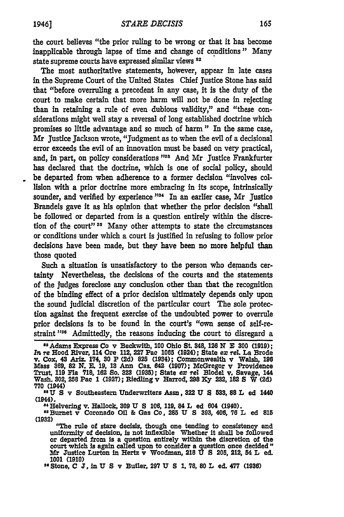the court believes "the prior ruling to be wrong or that it has become inapplicable through lapse of time and change of conditions" Many state supreme courts have expressed similar views **82**

The most authoritative statements, however, appear in late cases in the Supreme Court of the United States Chief Justice Stone has said that "before overruling a precedent in any case, it is the duty of the court to make certain that more harm will not be done in rejecting than in retaining a rule of even dubious validity," and "these considerations might well stay a reversal of long established doctrine which promises so little advantage and so much of harm" In the same case, Mr Justice Jackson wrote, "Judgment as to when the evil of a decisional error exceeds the evil of an innovation must be based on very practical, and, in part, on policy considerations **"88** And Mr Justice Frankfurter has declared that the doctrine, which is one of social policy, should be departed from when adherence to a former decision "involves collision with a prior doctrine more embracing in its scope, intrinsically sounder, and verified by experience "<sup>34</sup> In an earlier case, Mr Justice Brandeis gave it as his opinion that whether the prior decision "shall be followed or departed from is a question entirely within the discretion of the court"<sup>35</sup> Many other attempts to state the circumstances or conditions under which a court is justified in refusing to follow prior decisions have been made, but they have been no more helpful than those quoted

Such a situation is unsatisfactory to the person who demands certainty Nevertheless, the decisions of the courts and the statements of the judges foreclose any conclusion other than that the recognition of the binding effect of a prior decision ultimately depends only upon the sound judicial discretion of the particular court The sole protection against the frequent exercise of the undoubted power to overrule prior decisions is to be found in the court's "own sense of self-restraint **"38** Admittedly, the reasons inducing the court to disregard a

**<sup>3</sup>**Adams Express Co v Beckwith, **100** Ohio St. 348, **126 N E 300 (1919);** *IN.* re Hood River, 114 Ore 112, **227 Pae 1065** (1924); State ex *rel.* La Brode v. Cox, 43 Ariz. 174, **30** P **(2d) 825** (1934); Commonwealth v Walsh, **<sup>196</sup>** Mass **369, 82 N. E. 19, 18** Ann Cas. **842 (1907);** McGregor v Providence Trust, **119 la 718, 162** So. **323 (1935);** State ex *-'el* Blodel v. Savage, 144 Wash. **302,** 258 Pac 1 **(1927);** Riedling v Harrod, **298 Ky** 232, **182 S** W **(2d) <sup>770</sup>**(1944) **Uo S** v Southeastern Underwriters Assn, 322 **U S 533, 88** L ed 1440

(1944). **<sup>84</sup>**Helvering v. Hallock, **309 U S 106, 119,** 84 L ed 604 (1940). '8Burnet v Coronado **Oi1 &** Gas Co, **285 U S 393,** 406, **76** L ed **<sup>815</sup> (1932)** "The rule of stare decisis, though one tending to consistency and

uniformity of decision, is not inflexible Whether it shall be followed or departed from is a question entirely within the discretion of the court which is again called upon to consider a question once decided" **Mr** Justice Lurton in Hertz v Woodman, **218 U S** 205, 212, 54 L ed. **1001 (1910)**

**3,** Stone, **C J,** in **U S** v Butler, **297 U S 1, 78, 80** L ed. **477 (1936)**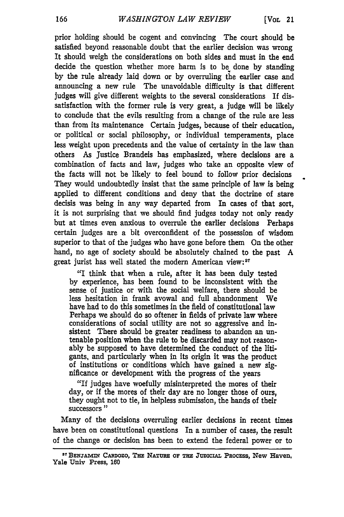prior holding should be cogent and convincing The court should be satisfied beyond reasonable doubt that the earlier decision was wrong It should weigh the considerations on both sides and must in the end decide the question whether more harm is to be done by standing by the rule already laid down or by overruling the earlier case and announcing a new rule The unavoidable difficulty is that different judges will give different weights to the several considerations If dissatisfaction with the former rule is very great, a judge will be likely to conclude that the evils resulting from a change of the rule are less than from its maintenance Certain judges, because of their education, or political or social philosophy, or individual temperaments, place less weight upon precedents and the value of certainty in the law than others As Justice Brandeis has emphasized, where decisions are a combination of facts and law, judges who take an opposite view of the facts will not be likely to feel bound to follow prior decisions They would undoubtedly insist that the same principle of law is being applied to different conditions and deny that the doctrine of stare decisis was being in any way departed from In cases of that sort, it is not surprising that we should find judges today not only ready but at times even anxious to overrule the earlier decisions Perhaps certain judges are a bit overconfident of the possession of wisdom superior to that of the judges who have gone before them On the other hand, no age of society should be absolutely chained to the past A great jurist has well stated the modern American view:<sup>37</sup>

**"I** think that when a rule, after it has been duly tested by experience, has been found to be inconsistent with the sense of justice or with the social welfare, there should be less hesitation in frank avowal and full abandonment We have had to do this sometimes in the field of constitutional law Perhaps we should do so oftener in fields of private law where considerations of social utility are not so aggressive and insistent There should be greater readiness to abandon an untenable position when the rule to be discarded may not reasonably be supposed to have determined the conduct of the litigants, and particularly when in its origin it was the product of institutions or conditions which have gained a new significance or development with the progress of the years

"If judges have woefully misinterpreted the mores of their day, or if the mores of their day are no longer those of ours, they ought not to tie, in helpless submission, the hands of their successors **"**

Many of the decisions overruling earlier decisions in recent times have been on constitutional questions In a number of cases, the result of the change or decision has been to extend the federal power or to

**<sup>37</sup> BENJAMIN CARDOZO, TaE NATURE OF THE JUDICIAL PROCESS,** New **Haven, Yale Univ Press, 160**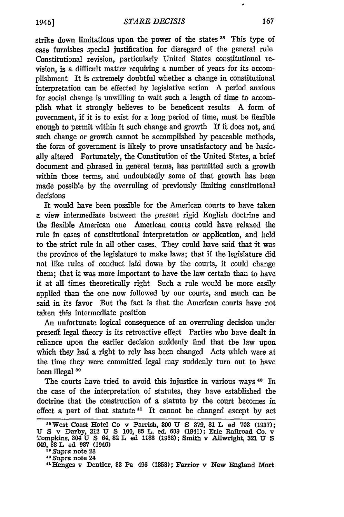strike down limitations upon the power of the states **3 <sup>8</sup>**This type of case furnishes special justification for disregard of the general rule Constitutional revision, particularly United States constitutional revision, is a difficult matter requiring a number of years for its accomplishment It is extremely doubtful whether a change in constitutional interpretation can be effected by legislative action A period anxious for social change is unwilling to walt such a length of time to accomplish what it strongly believes to be beneficent results A form of government, if it is to exist for a long period of time, must be flexible enough to permit within it such change and growth If it does not, and such change or growth cannot be accomplished by peaceable methods, the form of government is likely to prove unsatisfactory and be basically altered Fortunately, the Constitution of the United States, a brief document and phrased in general terms, has permitted such a growth within those terms, and undoubtedly some of that growth has been made possible by the overruling of previously limiting constitutional decisions

It would have been possible for the American courts to have taken a view intermediate between the present rigid English doctrine and the flexible American one American courts could have relaxed the rule in cases of constitutional interpretation or application, and held to the strict rule in all other cases, They could have said that it was the province of the legislature to make laws; that if the legislature did not like rules of conduct laid down by the courts, it could change them; that it was more important to have the law certain than to have it at all times theoretically right Such a rule would be more easily applied than the one now followed by our courts, and much can be said in its favor But the fact is that the American courts have not taken this intermediate position

An unfortunate logical consequence of an overruling decision under present legal theory is its retroactive effect Parties who have dealt in reliance upon the earlier decision suddenly find that the law upon which they had a right to rely has been changed Acts which were at the time they were committed legal may suddenly turn out to have been illegal **30**

The courts have tried to avoid this injustice in various ways <sup>40</sup> In the case of the interpretation of statutes, they have established the doctrine that the construction of a statute by the court becomes in effect a part of that statute  $41$  It cannot be changed except by act

٠

as **West** Coast Hotel Co v Parrish, **300 U S 379, 81** L ed **703 (1937); U S** v Darby, **312 U S 100, 85** L. ed. **609** (1941); Erie Railroad Co. v Tompkins, 304 **U S** 64, **82** L ed **1188 (1938);** Smith v Alwright, **321 U S** 649, **88** L ed **987** (1946) **:9** *Supra* note **<sup>28</sup> <sup>0</sup>***Supra* note 24

<sup>&</sup>quot;Henges v Dentler, **33** Pa 496 **(1858);** Farrior v New England Mort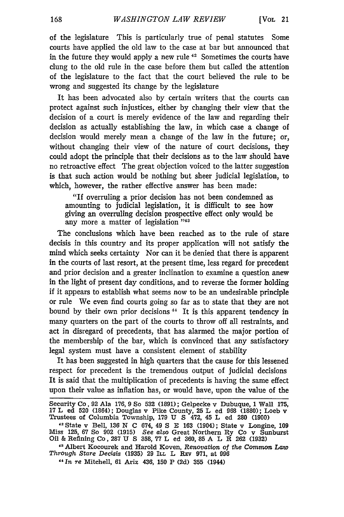of the legislature This is particularly true of penal statutes Some courts have applied the old law to the case at bar but announced that in the future they would apply a new rule **42** Sometimes the courts have clung to the old rule in the case before them but called the attention of the legislature to the fact that the court believed the rule to be wrong and suggested its change by the legislature

It has been advocated also by certain writers that the courts can protect against such injustices, either by changing their view that the decision of a court is merely evidence of the law and regarding their decision as actually establishing the law, in which case a change of decision would merely mean a change of the law in the future; or, without changing their view of the nature of court decisions, they could adopt the principle that their decisions as to the law should have no retroactive effect The great objection voiced to the latter suggestion is that such action would be nothing but sheer judicial legislation, to which, however, the rather effective answer has been made:

"If overruling a prior decision has not been condemned as amounting to judicial legislation, it is difficult to see how giving an overruling decision prospective effect only would he any more a matter of legislation "43

The conclusions which have been reached as to the rule of stare decisis in this country and its proper application will not satisfy the mind which seeks certainty Nor can it be denied that there is apparent in the courts of last resort, at the present time, less regard for precedent and prior decision and a greater inclination to examine a question anew in the light of present day conditions, and to reverse the former holding if it appears to establish what seems now to be an undesirable principle or rule We even find courts going so far as to state that they are not bound by their own prior decisions<sup>44</sup> It is this apparent tendency in many quarters on the part of the courts to throw off all restraints, and act in disregard of precedents, that has alarmed the major portion of the membership of the bar, which is convinced that any satisfactory legal system must have a consistent element of stability

It has been suggested in high quarters that the cause for this lessened respect for precedent is the tremendous output of judicial decisions It is said that the multiplication of precedents is having the same effect upon their value as inflation has, or would have, upon the value of the

**<sup>42</sup>**State v **Bell, 136 N C 674, 49 S E 163 (1904);** State v Longine, **109** Miss **125, 67** So **902 (1915)** *See* also Great Northern Ry Co v Sunburst **Oil &** Refining Co **, 287 U S 358, 77 L** ed **360, 85 A L R 262 (1932)**

**"'Albert Kocourek and Harold Koven,** *Renovation* of the *Common Law Through Stare Decisis* **(1935) 29 ILL** L **Rav 971,** at **996**

*" In re* Mitchell, **61** Ariz **436, 150** P **(2d) 355** (1944)

Security Co, 92 Ala 176, 9 So 532 (1891); Gelpecke v Dubuque, 1 Wall 175, 17 L ed 520 (1864); Douglas v Pike County, 25 L ed 968 (1880); Loeb v Trustees of Columbia Township, 179 U S 472, 45 L ed 280 (1900)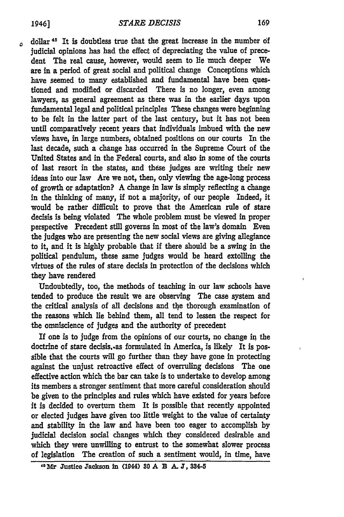٥

dollar<sup>45</sup> It is doubtless true that the great increase in the number of judicial opinions has had the effect of depreciating the value of precedent The real cause, however, would seem to **lie** much deeper We are in a period of great social and political change Conceptions which have seemed to many established and fundamental have been questioned and modified or discarded There is no longer, even among lawyers, as general agreement as there was in the earlier days upon fundamental legal and political principles These changes were beginning to be felt in the latter part of the last century, but it has not been until comparatively recent years that individuals imbued with the new views have, in large numbers, obtained positions on our courts In the last decade, such a change has occurred in the Supreme Court of the United States and in the Federal courts, and also in some of the courts of last resort in the states, and these judges are writing their new ideas into our law Are we not, then, only viewing the age-long process of growth or adaptation? A change in law is simply reflecting a change in the thinking of many, **if** not a majority, of our people Indeed, it would be rather difficult to prove that the American rule of stare decisis is being violated The whole problem must be viewed in proper perspective Precedent still governs in most of the law's domain Even the judges who are presenting the new social views are giving allegiance to it, and it is highly probable that if there should be a swing in the political pendulum, these same judges would be heard extolling the virtues of the rules of stare decisis in protection of the decisions which they have rendered

Undoubtedly, too, the methods of teaching in our law schools have tended to produce the result we are observing The case system and the critical analysis of all decisions and the thorough examination of the reasons which lie behind them, all tend to lessen the respect for the omniscience of judges and the authority of precedent

If one is to judge from the opinions of our courts, no change **in** the doctrine of stare decisis..as formulated in America, is likely It is possible that the courts will go further than they have gone in protecting against the unjust retroactive effect of overruling decisions The one effective action which the bar can take is to undertake to develop among its members a stronger sentiment that more careful consideration should be given to the principles and rules which have existed for years before it is decided to overturn them It is possible that recently appointed or elected judges have given too little weight to the value of certainty and stability in the law and have been too eager to accomplish by judicial decision social changes which they considered desirable and which they were unwilling to entrust to the somewhat slower process of legislation The creation of such a sentiment would, in time, have

**<sup>&</sup>quot; Mr Justice Jackson In (1944) 30 A B A.** *J,* **334-5**